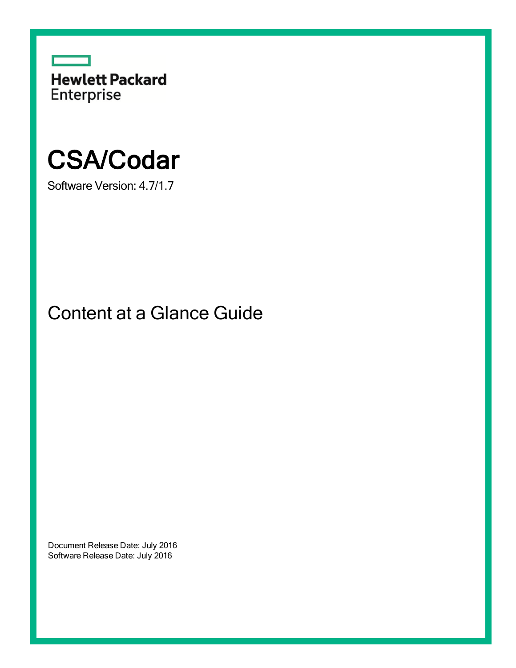

# CSA/Codar

Software Version: 4.7/1.7

Content at a Glance Guide

Document Release Date: July 2016 Software Release Date: July 2016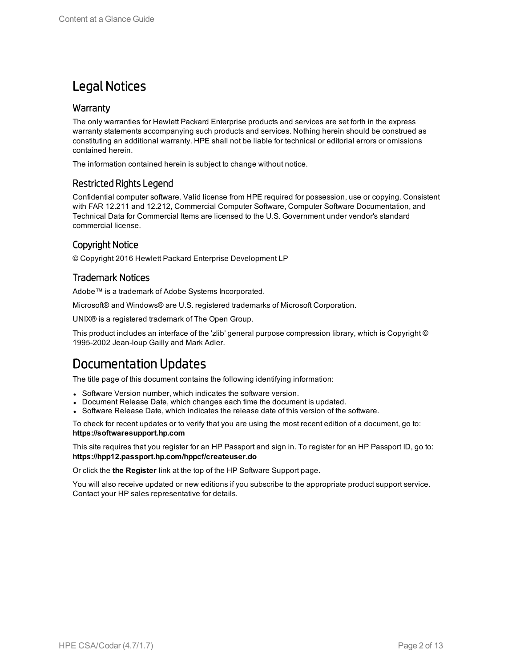### Legal Notices

### **Warranty**

The only warranties for Hewlett Packard Enterprise products and services are set forth in the express warranty statements accompanying such products and services. Nothing herein should be construed as constituting an additional warranty. HPE shall not be liable for technical or editorial errors or omissions contained herein.

The information contained herein is subject to change without notice.

### Restricted Rights Legend

Confidential computer software. Valid license from HPE required for possession, use or copying. Consistent with FAR 12.211 and 12.212, Commercial Computer Software, Computer Software Documentation, and Technical Data for Commercial Items are licensed to the U.S. Government under vendor's standard commercial license.

### Copyright Notice

© Copyright 2016 Hewlett Packard Enterprise Development LP

### Trademark Notices

Adobe™ is a trademark of Adobe Systems Incorporated.

Microsoft® and Windows® are U.S. registered trademarks of Microsoft Corporation.

UNIX® is a registered trademark of The Open Group.

This product includes an interface of the 'zlib' general purpose compression library, which is Copyright © 1995-2002 Jean-loup Gailly and Mark Adler.

### Documentation Updates

The title page of this document contains the following identifying information:

- Software Version number, which indicates the software version.
- Document Release Date, which changes each time the document is updated.
- Software Release Date, which indicates the release date of this version of the software.

To check for recent updates or to verify that you are using the most recent edition of a document, go to: **https://softwaresupport.hp.com**

This site requires that you register for an HP Passport and sign in. To register for an HP Passport ID, go to: **https://hpp12.passport.hp.com/hppcf/createuser.do**

Or click the **the Register** link at the top of the HP Software Support page.

You will also receive updated or new editions if you subscribe to the appropriate product support service. Contact your HP sales representative for details.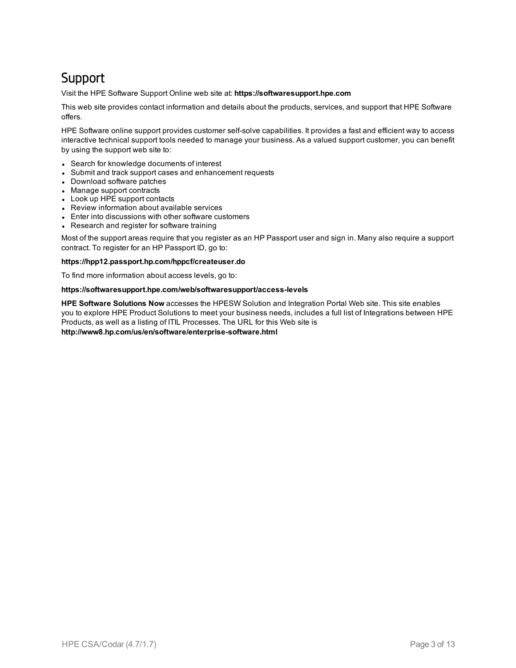### Support

Visit the HPE Software Support Online web site at: **https://softwaresupport.hpe.com**

This web site provides contact information and details about the products, services, and support that HPE Software offers.

HPE Software online support provides customer self-solve capabilities. It provides a fast and efficient way to access interactive technical support tools needed to manage your business. As a valued support customer, you can benefit by using the support web site to:

- Search for knowledge documents of interest
- Submit and track support cases and enhancement requests
- Download software patches
- Manage support contracts
- Look up HPE support contacts
- Review information about available services
- Enter into discussions with other software customers
- Research and register for software training

Most of the support areas require that you register as an HP Passport user and sign in. Many also require a support contract. To register for an HP Passport ID, go to:

#### **https://hpp12.passport.hp.com/hppcf/createuser.do**

To find more information about access levels, go to:

#### **https://softwaresupport.hpe.com/web/softwaresupport/access-levels**

**HPE Software Solutions Now** accesses the HPESW Solution and Integration Portal Web site. This site enables you to explore HPE Product Solutions to meet your business needs, includes a full list of Integrations between HPE Products, as well as a listing of ITIL Processes. The URL for this Web site is **http://www8.hp.com/us/en/software/enterprise-software.html**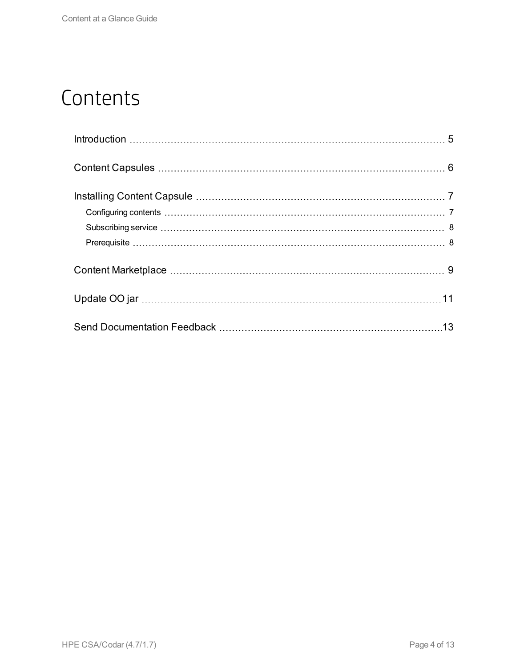## **Contents**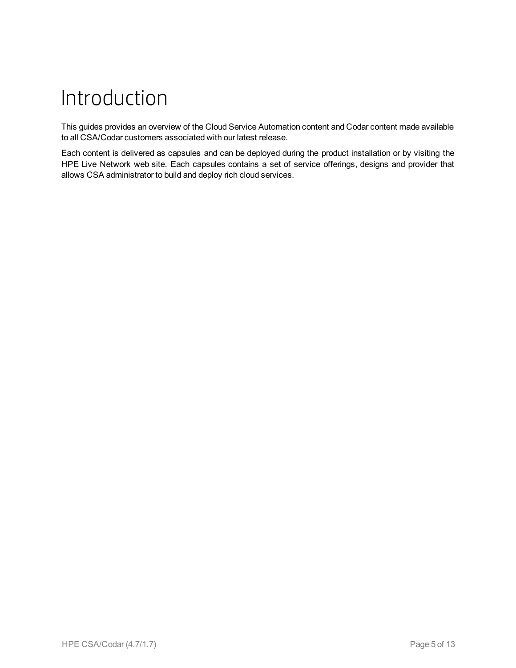# <span id="page-4-0"></span>Introduction

This guides provides an overview of the Cloud Service Automation content and Codar content made available to all CSA/Codar customers associated with our latest release.

Each content is delivered as capsules and can be deployed during the product installation or by visiting the HPE Live Network web site. Each capsules contains a set of service offerings, designs and provider that allows CSA administrator to build and deploy rich cloud services.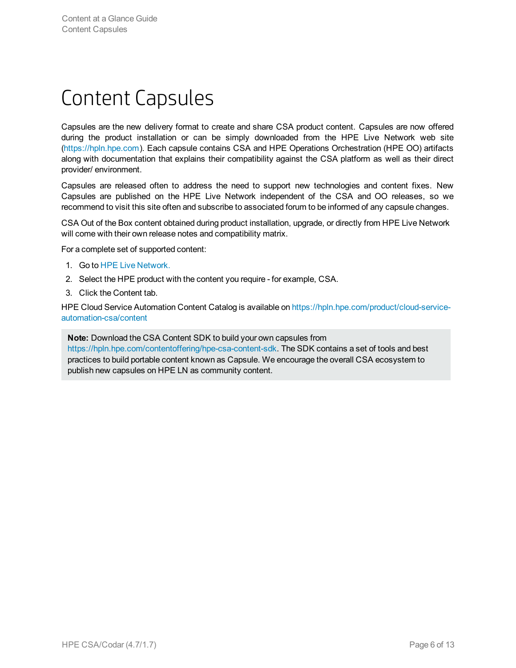## <span id="page-5-0"></span>Content Capsules

Capsules are the new delivery format to create and share CSA product content. Capsules are now offered during the product installation or can be simply downloaded from the HPE Live Network web site [\(https://hpln.hpe.com](https://hpln.hpe.com/)). Each capsule contains CSA and HPE Operations Orchestration (HPE OO) artifacts along with documentation that explains their compatibility against the CSA platform as well as their direct provider/ environment.

Capsules are released often to address the need to support new technologies and content fixes. New Capsules are published on the HPE Live Network independent of the CSA and OO releases, so we recommend to visit this site often and subscribe to associated forum to be informed of any capsule changes.

CSA Out of the Box content obtained during product installation, upgrade, or directly from HPE Live Network will come with their own release notes and compatibility matrix.

For a complete set of supported content:

- 1. Go to HPE Live [Network.](https://hpln.hpe.com/)
- 2. Select the HPE product with the content you require for example, CSA.
- 3. Click the Content tab.

HPE Cloud Service Automation Content Catalog is available on [https://hpln.hpe.com/product/cloud-service](https://hpln.hpe.com/product/cloud-service-automation-csa/content)[automation-csa/content](https://hpln.hpe.com/product/cloud-service-automation-csa/content)

**Note:** Download the CSA Content SDK to build your own capsules from <https://hpln.hpe.com/contentoffering/hpe-csa-content-sdk>. The SDK contains a set of tools and best practices to build portable content known as Capsule. We encourage the overall CSA ecosystem to publish new capsules on HPE LN as community content.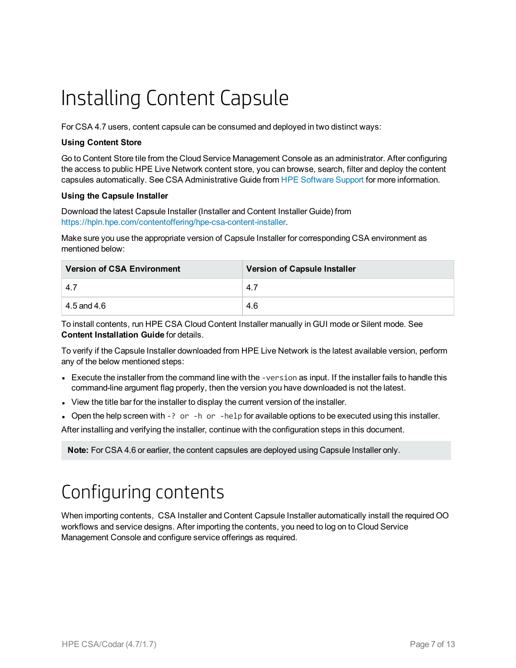# <span id="page-6-0"></span>Installing Content Capsule

For CSA 4.7 users, content capsule can be consumed and deployed in two distinct ways:

#### **Using Content Store**

Go to Content Store tile from the Cloud Service Management Console as an administrator. After configuring the access to public HPE Live Network content store, you can browse, search, filter and deploy the content capsules automatically. See CSA Administrative Guide from [HPE Software](https://softwaresupport.hpe.com/group/softwaresupport/search-result?doctype=manuals%3Fkeyword%3D) Support for more information.

#### **Using the Capsule Installer**

Download the latest Capsule Installer (Installer and Content Installer Guide) from <https://hpln.hpe.com/contentoffering/hpe-csa-content-installer>.

Make sure you use the appropriate version of Capsule Installer for corresponding CSA environment as mentioned below:

| <b>Version of CSA Environment</b> | <b>Version of Capsule Installer</b> |
|-----------------------------------|-------------------------------------|
| $-4.7$                            | 4.7                                 |
| $4.5$ and $4.6$                   | 4.6                                 |

To install contents, run HPE CSA Cloud Content Installer manually in GUI mode or Silent mode. See **Content Installation Guide** for details.

To verify if the Capsule Installer downloaded from HPE Live Network is the latest available version, perform any of the below mentioned steps:

- Execute the installer from the command line with the -version as input. If the installer fails to handle this command-line argument flag properly, then the version you have downloaded is not the latest.
- View the title bar for the installer to display the current version of the installer.
- Open the help screen with  $-$ ? or  $-$ h or  $-$ help for available options to be executed using this installer.

After installing and verifying the installer, continue with the configuration steps in this document.

<span id="page-6-1"></span>**Note:** For CSA 4.6 or earlier, the content capsules are deployed using Capsule Installer only.

## Configuring contents

When importing contents, CSA Installer and Content Capsule Installer automatically install the required OO workflows and service designs. After importing the contents, you need to log on to Cloud Service Management Console and configure service offerings as required.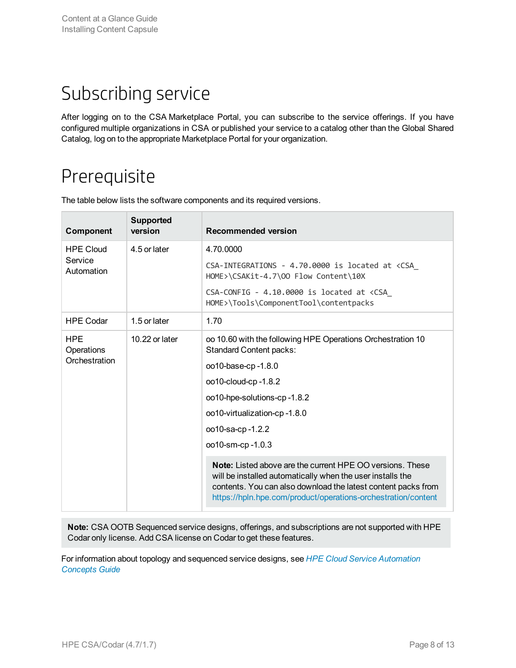## <span id="page-7-0"></span>Subscribing service

After logging on to the CSA Marketplace Portal, you can subscribe to the service offerings. If you have configured multiple organizations in CSA or published your service to a catalog other than the Global Shared Catalog, log on to the appropriate Marketplace Portal for your organization.

## <span id="page-7-1"></span>Prerequisite

| Component                                  | <b>Supported</b><br>version | <b>Recommended version</b>                                                                                                                                                                                                                                       |
|--------------------------------------------|-----------------------------|------------------------------------------------------------------------------------------------------------------------------------------------------------------------------------------------------------------------------------------------------------------|
| <b>HPE Cloud</b><br>4.5 or later           |                             | 4.70.0000                                                                                                                                                                                                                                                        |
| Service<br>Automation                      |                             | CSA-INTEGRATIONS - 4.70.0000 is located at <csa<br>HOME&gt;\CSAKit-4.7\00 Flow Content\10X</csa<br>                                                                                                                                                              |
|                                            |                             | CSA-CONFIG - 4.10.0000 is located at <csa<br>HOME&gt;\Tools\ComponentTool\contentpacks</csa<br>                                                                                                                                                                  |
| <b>HPE Codar</b>                           | 1.5 or later                | 1.70                                                                                                                                                                                                                                                             |
| <b>HPE</b><br>10.22 or later<br>Operations |                             | oo 10.60 with the following HPE Operations Orchestration 10<br><b>Standard Content packs:</b>                                                                                                                                                                    |
| Orchestration                              |                             | oo10-base-cp-1.8.0                                                                                                                                                                                                                                               |
|                                            |                             | oo10-cloud-cp-1.8.2                                                                                                                                                                                                                                              |
|                                            |                             | oo10-hpe-solutions-cp-1.8.2                                                                                                                                                                                                                                      |
|                                            |                             | oo10-virtualization-cp-1.8.0                                                                                                                                                                                                                                     |
|                                            |                             | oo10-sa-cp-1.2.2                                                                                                                                                                                                                                                 |
|                                            |                             | oo10-sm-cp-1.0.3                                                                                                                                                                                                                                                 |
|                                            |                             | <b>Note:</b> Listed above are the current HPE OO versions. These<br>will be installed automatically when the user installs the<br>contents. You can also download the latest content packs from<br>https://hpln.hpe.com/product/operations-orchestration/content |

The table below lists the software components and its required versions.

**Note:** CSA OOTB Sequenced service designs, offerings, and subscriptions are not supported with HPE Codar only license. Add CSA license on Codar to get these features.

For information about topology and sequenced service designs, see *HPE Cloud Service [Automation](https://softwaresupport.hpe.com/km/KM02413727) [Concepts](https://softwaresupport.hpe.com/km/KM02413727) Guide*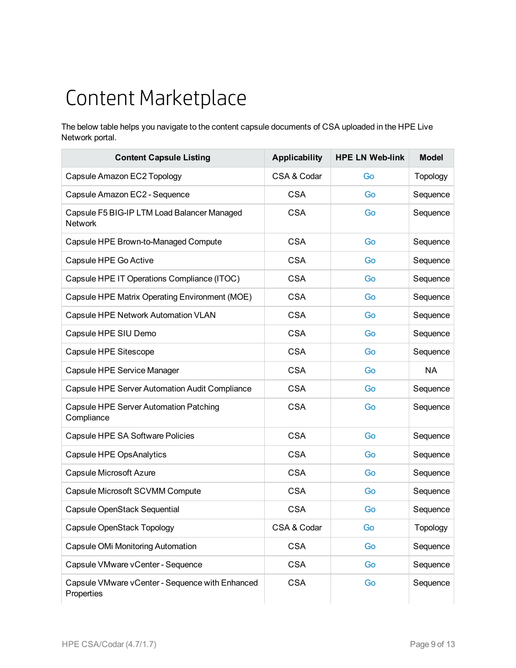# <span id="page-8-0"></span>Content Marketplace

The below table helps you navigate to the content capsule documents of CSA uploaded in the HPE Live Network portal.

| <b>Content Capsule Listing</b>                                | <b>Applicability</b> | <b>HPE LN Web-link</b> | <b>Model</b>    |
|---------------------------------------------------------------|----------------------|------------------------|-----------------|
| Capsule Amazon EC2 Topology                                   | CSA & Codar          | Go                     | <b>Topology</b> |
| Capsule Amazon EC2 - Sequence                                 | <b>CSA</b>           | Go                     | Sequence        |
| Capsule F5 BIG-IP LTM Load Balancer Managed<br><b>Network</b> | <b>CSA</b>           | Go                     | Sequence        |
| Capsule HPE Brown-to-Managed Compute                          | <b>CSA</b>           | Go                     | Sequence        |
| Capsule HPE Go Active                                         | <b>CSA</b>           | Go                     | Sequence        |
| Capsule HPE IT Operations Compliance (ITOC)                   | <b>CSA</b>           | Go                     | Sequence        |
| Capsule HPE Matrix Operating Environment (MOE)                | <b>CSA</b>           | Go                     | Sequence        |
| Capsule HPE Network Automation VLAN                           | <b>CSA</b>           | Go                     | Sequence        |
| Capsule HPE SIU Demo                                          | <b>CSA</b>           | Go                     | Sequence        |
| Capsule HPE Sitescope                                         | <b>CSA</b>           | Go                     | Sequence        |
| Capsule HPE Service Manager                                   | <b>CSA</b>           | Go                     | <b>NA</b>       |
| Capsule HPE Server Automation Audit Compliance                | <b>CSA</b>           | Go                     | Sequence        |
| Capsule HPE Server Automation Patching<br>Compliance          | <b>CSA</b>           | Go                     | Sequence        |
| Capsule HPE SA Software Policies                              | <b>CSA</b>           | Go                     | Sequence        |
| Capsule HPE OpsAnalytics                                      | <b>CSA</b>           | Go                     | Sequence        |
| <b>Capsule Microsoft Azure</b>                                | <b>CSA</b>           | Go                     | Sequence        |
| Capsule Microsoft SCVMM Compute                               | <b>CSA</b>           | Go                     | Sequence        |
| Capsule OpenStack Sequential                                  | <b>CSA</b>           | Go                     | Sequence        |
| Capsule OpenStack Topology                                    | CSA & Codar          | Go                     | <b>Topology</b> |
| Capsule OMi Monitoring Automation                             | <b>CSA</b>           | Go                     | Sequence        |
| Capsule VMware vCenter - Sequence                             | <b>CSA</b>           | Go                     | Sequence        |
| Capsule VMware vCenter - Sequence with Enhanced<br>Properties | <b>CSA</b>           | Go                     | Sequence        |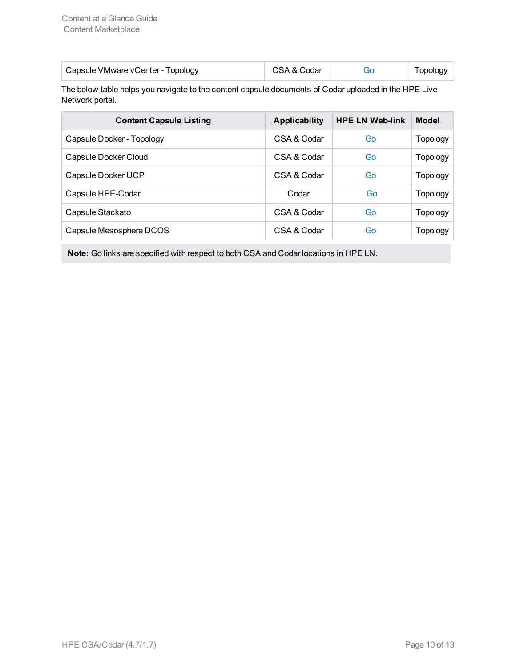| Capsule VMware vCenter - Topology | CSA & Codar | <b>Topology</b> |
|-----------------------------------|-------------|-----------------|
|                                   |             |                 |

The below table helps you navigate to the content capsule documents of Codar uploaded in the HPE Live Network portal.

| <b>Content Capsule Listing</b> | <b>Applicability</b> | <b>HPE LN Web-link</b> | <b>Model</b> |
|--------------------------------|----------------------|------------------------|--------------|
| Capsule Docker - Topology      | CSA & Codar          | Go                     | Topology     |
| Capsule Docker Cloud           | CSA & Codar          | Go                     | Topology     |
| Capsule Docker UCP             | CSA & Codar          | Go                     | Topology     |
| Capsule HPE-Codar              | Codar                | Go                     | Topology     |
| Capsule Stackato               | CSA & Codar          | Go                     | Topology     |
| Capsule Mesosphere DCOS        | CSA & Codar          | Go                     | Topology     |

**Note:** Go links are specified with respect to both CSA and Codar locations in HPE LN.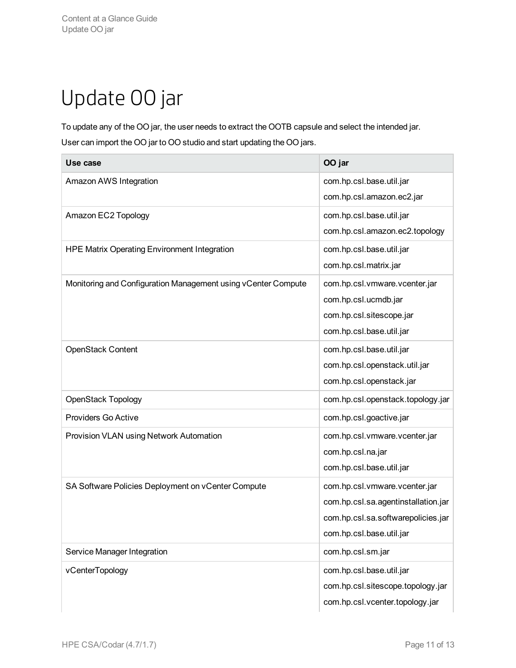# <span id="page-10-0"></span>Update OO jar

To update any of the OO jar, the user needs to extract the OOTB capsule and select the intended jar. User can import the OO jar to OO studio and start updating the OO jars.

| Use case                                                      | OO jar                              |
|---------------------------------------------------------------|-------------------------------------|
| Amazon AWS Integration                                        | com.hp.csl.base.util.jar            |
|                                                               | com.hp.csl.amazon.ec2.jar           |
| Amazon EC2 Topology                                           | com.hp.csl.base.util.jar            |
|                                                               | com.hp.csl.amazon.ec2.topology      |
| <b>HPE Matrix Operating Environment Integration</b>           | com.hp.csl.base.util.jar            |
|                                                               | com.hp.csl.matrix.jar               |
| Monitoring and Configuration Management using vCenter Compute | com.hp.csl.vmware.vcenter.jar       |
|                                                               | com.hp.csl.ucmdb.jar                |
|                                                               | com.hp.csl.sitescope.jar            |
|                                                               | com.hp.csl.base.util.jar            |
| <b>OpenStack Content</b>                                      | com.hp.csl.base.util.jar            |
|                                                               | com.hp.csl.openstack.util.jar       |
|                                                               | com.hp.csl.openstack.jar            |
| <b>OpenStack Topology</b>                                     | com.hp.csl.openstack.topology.jar   |
| Providers Go Active                                           | com.hp.csl.goactive.jar             |
| Provision VLAN using Network Automation                       | com.hp.csl.vmware.vcenter.jar       |
|                                                               | com.hp.csl.na.jar                   |
|                                                               | com.hp.csl.base.util.jar            |
| SA Software Policies Deployment on vCenter Compute            | com.hp.csl.vmware.vcenter.jar       |
|                                                               | com.hp.csl.sa.agentinstallation.jar |
|                                                               | com.hp.csl.sa.softwarepolicies.jar  |
|                                                               | com.hp.csl.base.util.jar            |
| Service Manager Integration                                   | com.hp.csl.sm.jar                   |
| vCenterTopology                                               | com.hp.csl.base.util.jar            |
|                                                               | com.hp.csl.sitescope.topology.jar   |
|                                                               | com.hp.csl.vcenter.topology.jar     |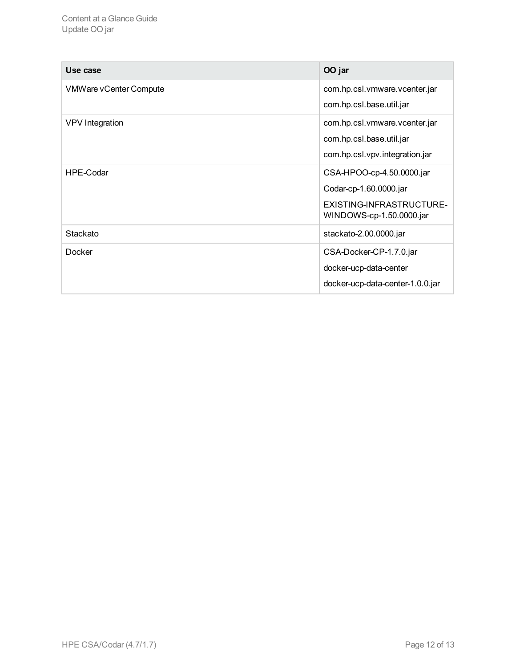| Use case                      | OO jar                                               |
|-------------------------------|------------------------------------------------------|
| <b>VMWare vCenter Compute</b> | com.hp.csl.vmware.vcenter.jar                        |
|                               | com.hp.csl.base.util.jar                             |
| <b>VPV</b> Integration        | com.hp.csl.vmware.vcenter.jar                        |
|                               | com.hp.csl.base.util.jar                             |
|                               | com.hp.csl.vpv.integration.jar                       |
| HPE-Codar                     | CSA-HPOO-cp-4.50.0000.jar                            |
|                               | Codar-cp-1.60.0000.jar                               |
|                               | EXISTING-INFRASTRUCTURE-<br>WINDOWS-cp-1.50.0000.jar |
| Stackato                      | stackato-2.00.0000.jar                               |
| Docker                        | CSA-Docker-CP-1.7.0.jar                              |
|                               | docker-ucp-data-center                               |
|                               | docker-ucp-data-center-1.0.0.jar                     |